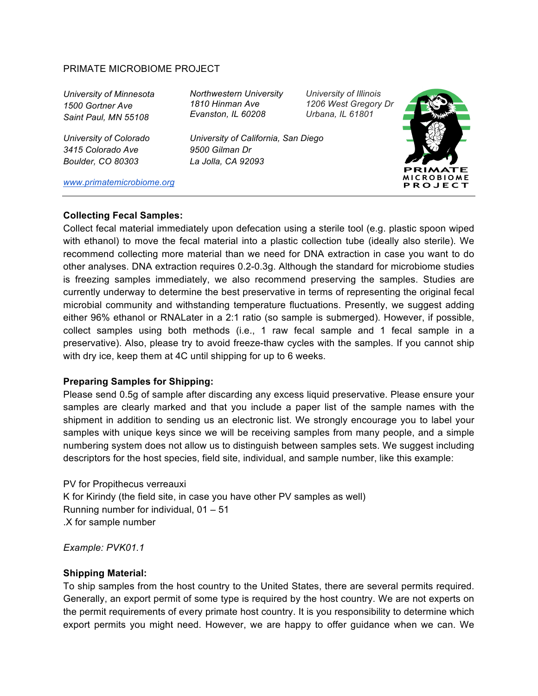# PRIMATE MICROBIOME PROJECT

*University of Minnesota 1500 Gortner Ave Saint Paul, MN 55108*

*3415 Colorado Ave 9500 Gilman Dr Boulder, CO 80303 La Jolla, CA 92093*

*Northwestern University 1810 Hinman Ave Evanston, IL 60208*

*University of Colorado University of California, San Diego*

*University of Illinois 1206 West Gregory Dr Urbana, IL 61801*



*www.primatemicrobiome.org*

## **Collecting Fecal Samples:**

Collect fecal material immediately upon defecation using a sterile tool (e.g. plastic spoon wiped with ethanol) to move the fecal material into a plastic collection tube (ideally also sterile). We recommend collecting more material than we need for DNA extraction in case you want to do other analyses. DNA extraction requires 0.2-0.3g. Although the standard for microbiome studies is freezing samples immediately, we also recommend preserving the samples. Studies are currently underway to determine the best preservative in terms of representing the original fecal microbial community and withstanding temperature fluctuations. Presently, we suggest adding either 96% ethanol or RNALater in a 2:1 ratio (so sample is submerged). However, if possible, collect samples using both methods (i.e., 1 raw fecal sample and 1 fecal sample in a preservative). Also, please try to avoid freeze-thaw cycles with the samples. If you cannot ship with dry ice, keep them at 4C until shipping for up to 6 weeks.

## **Preparing Samples for Shipping:**

Please send 0.5g of sample after discarding any excess liquid preservative. Please ensure your samples are clearly marked and that you include a paper list of the sample names with the shipment in addition to sending us an electronic list. We strongly encourage you to label your samples with unique keys since we will be receiving samples from many people, and a simple numbering system does not allow us to distinguish between samples sets. We suggest including descriptors for the host species, field site, individual, and sample number, like this example:

PV for Propithecus verreauxi K for Kirindy (the field site, in case you have other PV samples as well) Running number for individual, 01 – 51 .X for sample number

*Example: PVK01.1*

## **Shipping Material:**

To ship samples from the host country to the United States, there are several permits required. Generally, an export permit of some type is required by the host country. We are not experts on the permit requirements of every primate host country. It is you responsibility to determine which export permits you might need. However, we are happy to offer guidance when we can. We